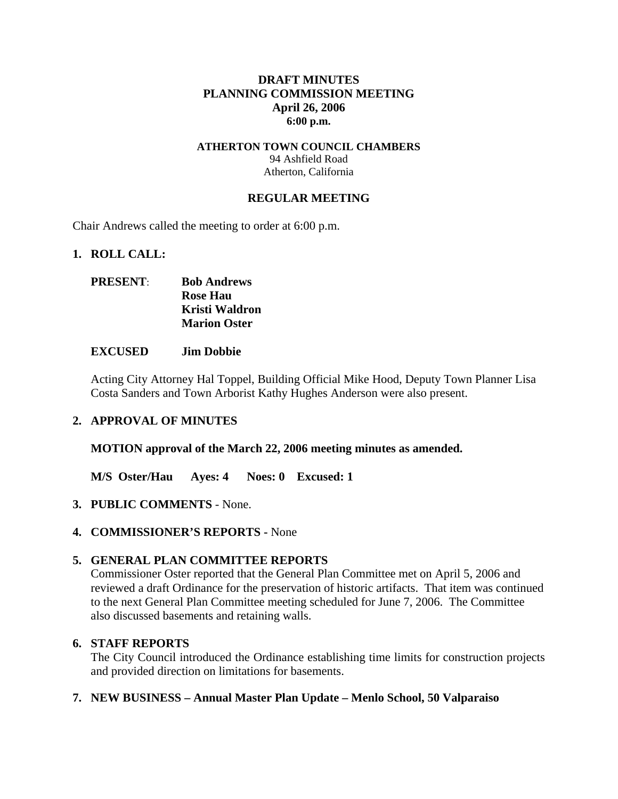## **DRAFT MINUTES PLANNING COMMISSION MEETING April 26, 2006 6:00 p.m.**

#### **ATHERTON TOWN COUNCIL CHAMBERS**  94 Ashfield Road Atherton, California

## **REGULAR MEETING**

Chair Andrews called the meeting to order at 6:00 p.m.

#### **1. ROLL CALL:**

| <b>PRESENT:</b> | <b>Bob Andrews</b>  |
|-----------------|---------------------|
|                 | <b>Rose Hau</b>     |
|                 | Kristi Waldron      |
|                 | <b>Marion Oster</b> |

#### **EXCUSED Jim Dobbie**

Acting City Attorney Hal Toppel, Building Official Mike Hood, Deputy Town Planner Lisa Costa Sanders and Town Arborist Kathy Hughes Anderson were also present.

#### **2. APPROVAL OF MINUTES**

**MOTION approval of the March 22, 2006 meeting minutes as amended.** 

**M/S Oster/Hau Ayes: 4 Noes: 0 Excused: 1** 

- **3. PUBLIC COMMENTS** None.
- **4. COMMISSIONER'S REPORTS** None

## **5. GENERAL PLAN COMMITTEE REPORTS**

Commissioner Oster reported that the General Plan Committee met on April 5, 2006 and reviewed a draft Ordinance for the preservation of historic artifacts. That item was continued to the next General Plan Committee meeting scheduled for June 7, 2006. The Committee also discussed basements and retaining walls.

#### **6. STAFF REPORTS**

The City Council introduced the Ordinance establishing time limits for construction projects and provided direction on limitations for basements.

#### **7. NEW BUSINESS – Annual Master Plan Update – Menlo School, 50 Valparaiso**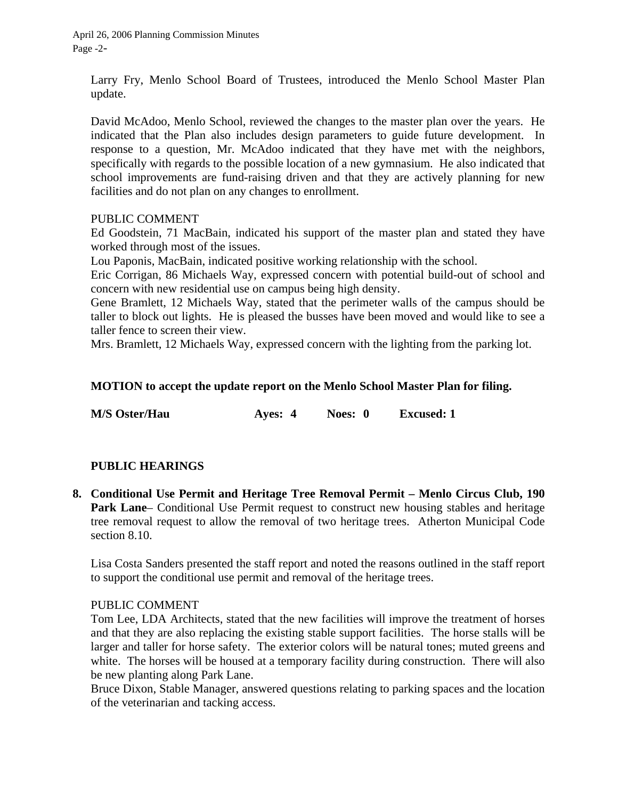April 26, 2006 Planning Commission Minutes Page -2-

Larry Fry, Menlo School Board of Trustees, introduced the Menlo School Master Plan update.

David McAdoo, Menlo School, reviewed the changes to the master plan over the years. He indicated that the Plan also includes design parameters to guide future development. In response to a question, Mr. McAdoo indicated that they have met with the neighbors, specifically with regards to the possible location of a new gymnasium. He also indicated that school improvements are fund-raising driven and that they are actively planning for new facilities and do not plan on any changes to enrollment.

## PUBLIC COMMENT

Ed Goodstein, 71 MacBain, indicated his support of the master plan and stated they have worked through most of the issues.

Lou Paponis, MacBain, indicated positive working relationship with the school.

Eric Corrigan, 86 Michaels Way, expressed concern with potential build-out of school and concern with new residential use on campus being high density.

Gene Bramlett, 12 Michaels Way, stated that the perimeter walls of the campus should be taller to block out lights. He is pleased the busses have been moved and would like to see a taller fence to screen their view.

Mrs. Bramlett, 12 Michaels Way, expressed concern with the lighting from the parking lot.

## **MOTION to accept the update report on the Menlo School Master Plan for filing.**

**M/S Oster/Hau Ayes: 4 Noes: 0 Excused: 1** 

## **PUBLIC HEARINGS**

**8. Conditional Use Permit and Heritage Tree Removal Permit – Menlo Circus Club, 190**  Park Lane– Conditional Use Permit request to construct new housing stables and heritage tree removal request to allow the removal of two heritage trees. Atherton Municipal Code section 8.10.

Lisa Costa Sanders presented the staff report and noted the reasons outlined in the staff report to support the conditional use permit and removal of the heritage trees.

#### PUBLIC COMMENT

Tom Lee, LDA Architects, stated that the new facilities will improve the treatment of horses and that they are also replacing the existing stable support facilities. The horse stalls will be larger and taller for horse safety. The exterior colors will be natural tones; muted greens and white. The horses will be housed at a temporary facility during construction. There will also be new planting along Park Lane.

Bruce Dixon, Stable Manager, answered questions relating to parking spaces and the location of the veterinarian and tacking access.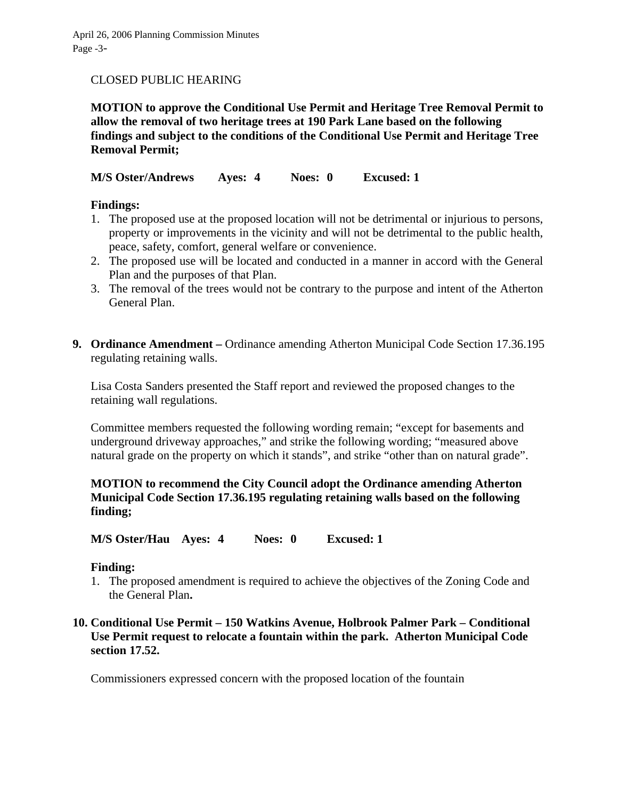## CLOSED PUBLIC HEARING

**MOTION to approve the Conditional Use Permit and Heritage Tree Removal Permit to allow the removal of two heritage trees at 190 Park Lane based on the following findings and subject to the conditions of the Conditional Use Permit and Heritage Tree Removal Permit;** 

**M/S Oster/Andrews Ayes: 4 Noes: 0 Excused: 1** 

## **Findings:**

- 1. The proposed use at the proposed location will not be detrimental or injurious to persons, property or improvements in the vicinity and will not be detrimental to the public health, peace, safety, comfort, general welfare or convenience.
- 2. The proposed use will be located and conducted in a manner in accord with the General Plan and the purposes of that Plan.
- 3. The removal of the trees would not be contrary to the purpose and intent of the Atherton General Plan.
- **9. Ordinance Amendment** Ordinance amending Atherton Municipal Code Section 17.36.195 regulating retaining walls.

Lisa Costa Sanders presented the Staff report and reviewed the proposed changes to the retaining wall regulations.

Committee members requested the following wording remain; "except for basements and underground driveway approaches," and strike the following wording; "measured above natural grade on the property on which it stands", and strike "other than on natural grade".

## **MOTION to recommend the City Council adopt the Ordinance amending Atherton Municipal Code Section 17.36.195 regulating retaining walls based on the following finding;**

**M/S Oster/Hau Ayes: 4 Noes: 0 Excused: 1** 

#### **Finding:**

1. The proposed amendment is required to achieve the objectives of the Zoning Code and the General Plan**.** 

## **10. Conditional Use Permit – 150 Watkins Avenue, Holbrook Palmer Park – Conditional Use Permit request to relocate a fountain within the park. Atherton Municipal Code section 17.52.**

Commissioners expressed concern with the proposed location of the fountain